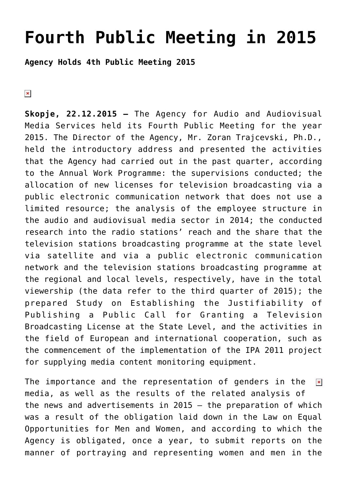## **[Fourth Public Meeting in 2015](https://avmu.mk/en/fourth-public-meeting-in-2015/)**

**Agency Holds 4th Public Meeting 2015**

 $\pmb{\times}$ 

**Skopje, 22.12.2015 –** The Agency for Audio and Audiovisual Media Services held its Fourth Public Meeting for the year 2015. The Director of the Agency, Mr. Zoran Trajcevski, Ph.D., held the introductory address and presented the activities that the Agency had carried out in the past quarter, according to the Annual Work Programme: the supervisions conducted; the allocation of new licenses for television broadcasting via a public electronic communication network that does not use a limited resource; the analysis of the employee structure in the audio and audiovisual media sector in 2014; the conducted research into the radio stations' reach and the share that the television stations broadcasting programme at the state level via satellite and via a public electronic communication network and the television stations broadcasting programme at the regional and local levels, respectively, have in the total viewership (the data refer to the third quarter of 2015); the prepared Study on Establishing the Justifiability of Publishing a Public Call for Granting a Television Broadcasting License at the State Level, and the activities in the field of European and international cooperation, such as the commencement of the implementation of the IPA 2011 project for supplying media content monitoring equipment.

The importance and the representation of genders in the  $\pmb{\times}$ media, as well as the results of the related analysis of the news and advertisements in 2015 – the preparation of which was a result of the obligation laid down in the Law on Equal Opportunities for Men and Women, and according to which the Agency is obligated, once a year, to submit reports on the manner of portraying and representing women and men in the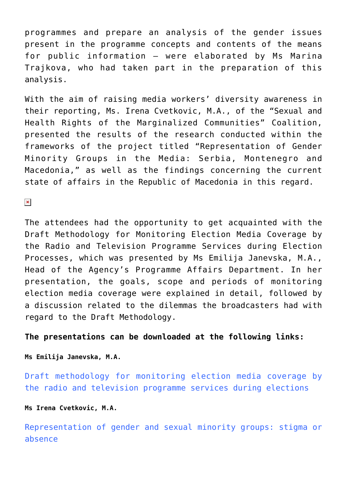programmes and prepare an analysis of the gender issues present in the programme concepts and contents of the means for public information – were elaborated by Ms Marina Trajkova, who had taken part in the preparation of this analysis.

With the aim of raising media workers' diversity awareness in their reporting, Ms. Irena Cvetkovic, M.A., of the "Sexual and Health Rights of the Marginalized Communities" Coalition, presented the results of the research conducted within the frameworks of the project titled "Representation of Gender Minority Groups in the Media: Serbia, Montenegro and Macedonia," as well as the findings concerning the current state of affairs in the Republic of Macedonia in this regard.

 $\pmb{\times}$ 

The attendees had the opportunity to get acquainted with the Draft Methodology for Monitoring Election Media Coverage by the Radio and Television Programme Services during Election Processes, which was presented by Ms Emilija Janevska, M.A., Head of the Agency's Programme Affairs Department. In her presentation, the goals, scope and periods of monitoring election media coverage were explained in detail, followed by a discussion related to the dilemmas the broadcasters had with regard to the Draft Methodology.

## **The presentations can be downloaded at the following links:**

**Ms Emilija Janevska, M.A.**

[Draft methodology for monitoring election media coverage by](http://avmu.mk/wp-content/uploads/2017/06/PPT_za_Nacrt_Metodologijata_-_finalna.ppt) [the radio and television programme services during elections](http://avmu.mk/wp-content/uploads/2017/06/PPT_za_Nacrt_Metodologijata_-_finalna.ppt)

**Ms Irena Cvetkovic, M.A.**

[Representation of gender and sexual minority groups: stigma or](http://avmu.mk/wp-content/uploads/2017/06/PRESS_-_duza_verzija_1.ppt) [absence](http://avmu.mk/wp-content/uploads/2017/06/PRESS_-_duza_verzija_1.ppt)